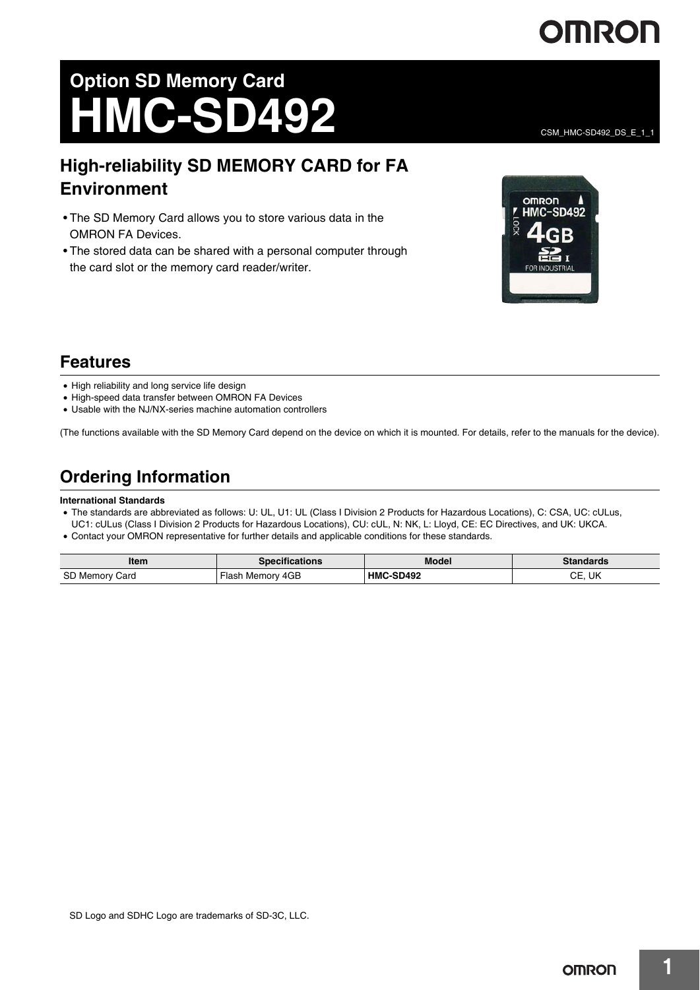# OMRON

CSM\_HMC-SD492\_DS\_E\_1\_1

# **Option SD Memory Card HMC-SD492**

# **High-reliability SD MEMORY CARD for FA Environment**

- The SD Memory Card allows you to store various data in the OMRON FA Devices.
- The stored data can be shared with a personal computer through the card slot or the memory card reader/writer.



## **Features**

- High reliability and long service life design
- High-speed data transfer between OMRON FA Devices
- Usable with the NJ/NX-series machine automation controllers

(The functions available with the SD Memory Card depend on the device on which it is mounted. For details, refer to the manuals for the device).

# **Ordering Information**

### **International Standards**

- The standards are abbreviated as follows: U: UL, U1: UL (Class I Division 2 Products for Hazardous Locations), C: CSA, UC: cULus, UC1: cULus (Class I Division 2 Products for Hazardous Locations), CU: cUL, N: NK, L: Lloyd, CE: EC Directives, and UK: UKCA.
- Contact your OMRON representative for further details and applicable conditions for these standards.

| Item              | <b>Specifications</b>         | <b>Model</b>     | <b>Standards</b>     |
|-------------------|-------------------------------|------------------|----------------------|
| SD Memory<br>Card | Memory 4GB<br>Flasł<br>$\sim$ | <b>HMC-SD492</b> | ~~<br>-114<br>UE, UN |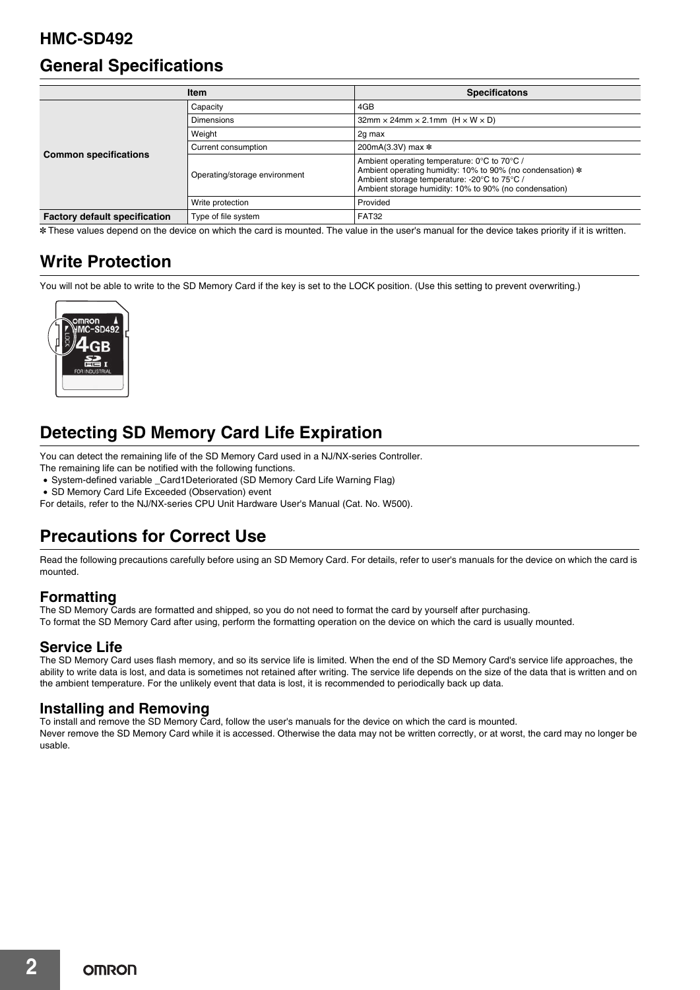## **HMC-SD492**

## **General Specifications**

| <b>Item</b>                          |                               | <b>Specificatons</b>                                                                                                                                                                                                 |  |
|--------------------------------------|-------------------------------|----------------------------------------------------------------------------------------------------------------------------------------------------------------------------------------------------------------------|--|
| <b>Common specifications</b>         | Capacity                      | 4GB                                                                                                                                                                                                                  |  |
|                                      | <b>Dimensions</b>             | $32$ mm $\times$ 24mm $\times$ 2.1mm (H $\times$ W $\times$ D)                                                                                                                                                       |  |
|                                      | Weight                        | 2g max                                                                                                                                                                                                               |  |
|                                      | Current consumption           | 200mA(3.3V) max *                                                                                                                                                                                                    |  |
|                                      | Operating/storage environment | Ambient operating temperature: 0°C to 70°C /<br>Ambient operating humidity: 10% to 90% (no condensation) *<br>Ambient storage temperature: -20°C to 75°C /<br>Ambient storage humidity: 10% to 90% (no condensation) |  |
|                                      | Write protection              | Provided                                                                                                                                                                                                             |  |
| <b>Factory default specification</b> | Type of file system           | FAT32                                                                                                                                                                                                                |  |

\* These values depend on the device on which the card is mounted. The value in the user's manual for the device takes priority if it is written.

# **Write Protection**

You will not be able to write to the SD Memory Card if the key is set to the LOCK position. (Use this setting to prevent overwriting.)



# **Detecting SD Memory Card Life Expiration**

You can detect the remaining life of the SD Memory Card used in a NJ/NX-series Controller.

- The remaining life can be notified with the following functions.
- System-defined variable \_Card1Deteriorated (SD Memory Card Life Warning Flag)
- SD Memory Card Life Exceeded (Observation) event

For details, refer to the NJ/NX-series CPU Unit Hardware User's Manual (Cat. No. W500).

# **Precautions for Correct Use**

Read the following precautions carefully before using an SD Memory Card. For details, refer to user's manuals for the device on which the card is mounted.

## **Formatting**

The SD Memory Cards are formatted and shipped, so you do not need to format the card by yourself after purchasing. To format the SD Memory Card after using, perform the formatting operation on the device on which the card is usually mounted.

## **Service Life**

The SD Memory Card uses flash memory, and so its service life is limited. When the end of the SD Memory Card's service life approaches, the ability to write data is lost, and data is sometimes not retained after writing. The service life depends on the size of the data that is written and on the ambient temperature. For the unlikely event that data is lost, it is recommended to periodically back up data.

## **Installing and Removing**

To install and remove the SD Memory Card, follow the user's manuals for the device on which the card is mounted. Never remove the SD Memory Card while it is accessed. Otherwise the data may not be written correctly, or at worst, the card may no longer be usable.